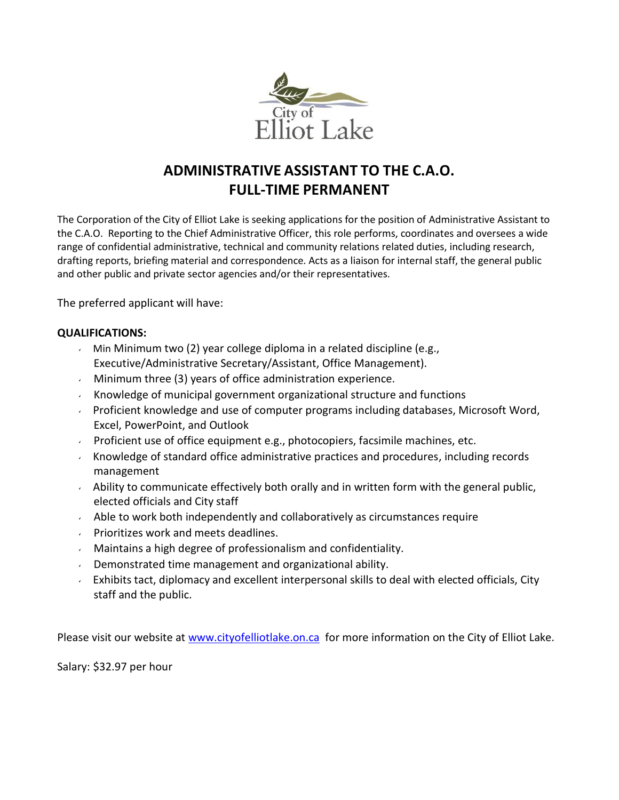

## **ADMINISTRATIVE ASSISTANT TO THE C.A.O. FULL-TIME PERMANENT**

The Corporation of the City of Elliot Lake is seeking applications for the position of Administrative Assistant to the C.A.O. Reporting to the Chief Administrative Officer, this role performs, coordinates and oversees a wide range of confidential administrative, technical and community relations related duties, including research, drafting reports, briefing material and correspondence. Acts as a liaison for internal staff, the general public and other public and private sector agencies and/or their representatives.

The preferred applicant will have:

## **QUALIFICATIONS:**

- Min Minimum two (2) year college diploma in a related discipline (e.g., Executive/Administrative Secretary/Assistant, Office Management).
- $\sim$  Minimum three (3) years of office administration experience.
- Knowledge of municipal government organizational structure and functions
- $\sim$  Proficient knowledge and use of computer programs including databases, Microsoft Word, Excel, PowerPoint, and Outlook
- Proficient use of office equipment e.g., photocopiers, facsimile machines, etc.
- Knowledge of standard office administrative practices and procedures, including records management
- $\sim$  Ability to communicate effectively both orally and in written form with the general public, elected officials and City staff
- $\sim$  Able to work both independently and collaboratively as circumstances require
- Prioritizes work and meets deadlines.
- $\sim$  Maintains a high degree of professionalism and confidentiality.
- **Demonstrated time management and organizational ability.**
- Exhibits tact, diplomacy and excellent interpersonal skills to deal with elected officials, City staff and the public.

Please visit our website at [www.cityofelliotlake.on.ca](http://www.cityofelliotlake.on.ca/) for more information on the City of Elliot Lake.

Salary: \$32.97 per hour